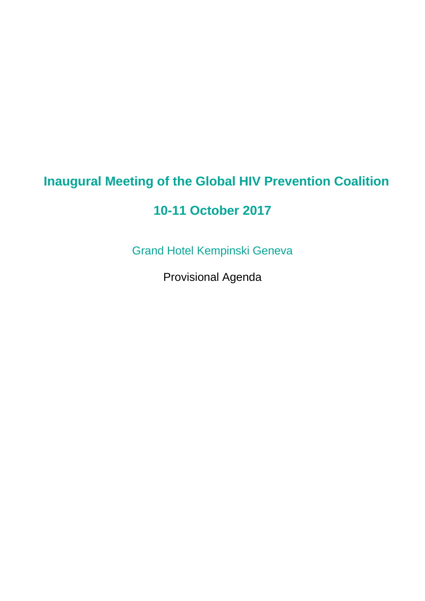## **Inaugural Meeting of the Global HIV Prevention Coalition**

## **10-11 October 2017**

Grand Hotel Kempinski Geneva

Provisional Agenda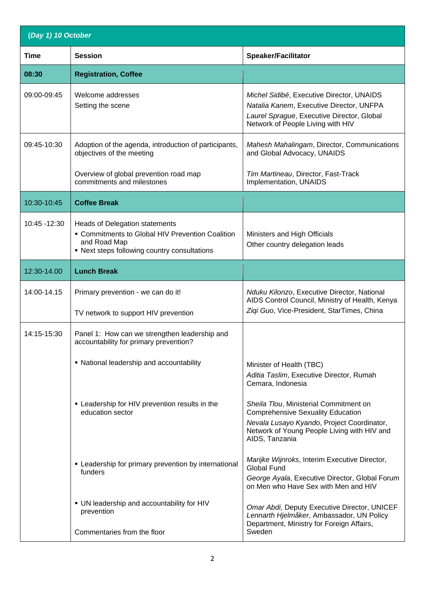| (Day 1) 10 October |                                                                                                                                                           |                                                                                                                                                                                                   |  |  |
|--------------------|-----------------------------------------------------------------------------------------------------------------------------------------------------------|---------------------------------------------------------------------------------------------------------------------------------------------------------------------------------------------------|--|--|
| <b>Time</b>        | <b>Session</b>                                                                                                                                            | <b>Speaker/Facilitator</b>                                                                                                                                                                        |  |  |
| 08:30              | <b>Registration, Coffee</b>                                                                                                                               |                                                                                                                                                                                                   |  |  |
| 09:00-09:45        | Welcome addresses<br>Setting the scene                                                                                                                    | Michel Sidibé, Executive Director, UNAIDS<br>Natalia Kanem, Executive Director, UNFPA<br>Laurel Sprague, Executive Director, Global<br>Network of People Living with HIV                          |  |  |
| 09:45-10:30        | Adoption of the agenda, introduction of participants,<br>objectives of the meeting                                                                        | Mahesh Mahalingam, Director, Communications<br>and Global Advocacy, UNAIDS                                                                                                                        |  |  |
|                    | Overview of global prevention road map<br>commitments and milestones                                                                                      | Tim Martineau, Director, Fast-Track<br>Implementation, UNAIDS                                                                                                                                     |  |  |
| 10:30-10:45        | <b>Coffee Break</b>                                                                                                                                       |                                                                                                                                                                                                   |  |  |
| 10:45 - 12:30      | <b>Heads of Delegation statements</b><br>• Commitments to Global HIV Prevention Coalition<br>and Road Map<br>• Next steps following country consultations | Ministers and High Officials<br>Other country delegation leads                                                                                                                                    |  |  |
| 12:30-14.00        | <b>Lunch Break</b>                                                                                                                                        |                                                                                                                                                                                                   |  |  |
| 14:00-14.15        | Primary prevention - we can do it!<br>TV network to support HIV prevention                                                                                | Nduku Kilonzo, Executive Director, National<br>AIDS Control Council, Ministry of Health, Kenya<br>Ziqi Guo, Vice-President, StarTimes, China                                                      |  |  |
| 14:15-15:30        | Panel 1: How can we strengthen leadership and<br>accountability for primary prevention?                                                                   |                                                                                                                                                                                                   |  |  |
|                    | • National leadership and accountability                                                                                                                  | Minister of Health (TBC)<br>Aditia Taslim, Executive Director, Rumah<br>Cemara, Indonesia                                                                                                         |  |  |
|                    | • Leadership for HIV prevention results in the<br>education sector                                                                                        | Sheila Tlou, Ministerial Commitment on<br><b>Comprehensive Sexuality Education</b><br>Nevala Lusayo Kyando, Project Coordinator,<br>Network of Young People Living with HIV and<br>AIDS, Tanzania |  |  |
|                    | • Leadership for primary prevention by international<br>funders                                                                                           | Marijke Wijnroks, Interim Executive Director,<br><b>Global Fund</b><br>George Ayala, Executive Director, Global Forum<br>on Men who Have Sex with Men and HIV                                     |  |  |
|                    | • UN leadership and accountability for HIV<br>prevention                                                                                                  | Omar Abdi, Deputy Executive Director, UNICEF<br>Lennarth Hjelmåker, Ambassador, UN Policy<br>Department, Ministry for Foreign Affairs,                                                            |  |  |
|                    | Commentaries from the floor                                                                                                                               | Sweden                                                                                                                                                                                            |  |  |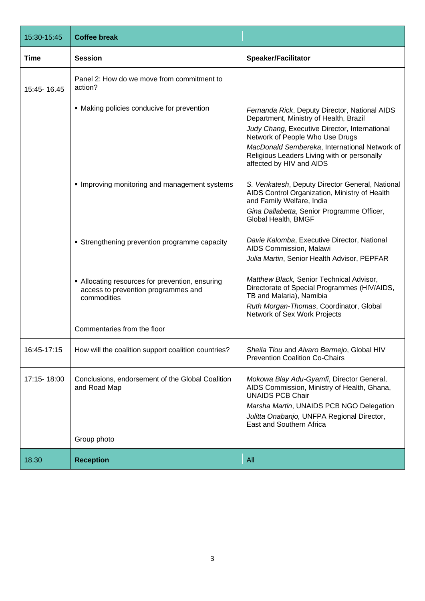| 15:30-15:45 | <b>Coffee break</b>                                                                                   |                                                                                                                               |
|-------------|-------------------------------------------------------------------------------------------------------|-------------------------------------------------------------------------------------------------------------------------------|
| <b>Time</b> | <b>Session</b>                                                                                        | <b>Speaker/Facilitator</b>                                                                                                    |
| 15:45-16.45 | Panel 2: How do we move from commitment to<br>action?                                                 |                                                                                                                               |
|             | • Making policies conducive for prevention                                                            | Fernanda Rick, Deputy Director, National AIDS<br>Department, Ministry of Health, Brazil                                       |
|             |                                                                                                       | Judy Chang, Executive Director, International<br>Network of People Who Use Drugs                                              |
|             |                                                                                                       | MacDonald Sembereka, International Network of<br>Religious Leaders Living with or personally<br>affected by HIV and AIDS      |
|             | Improving monitoring and management systems                                                           | S. Venkatesh, Deputy Director General, National<br>AIDS Control Organization, Ministry of Health<br>and Family Welfare, India |
|             |                                                                                                       | Gina Dallabetta, Senior Programme Officer,<br>Global Health, BMGF                                                             |
|             | • Strengthening prevention programme capacity                                                         | Davie Kalomba, Executive Director, National<br>AIDS Commission, Malawi                                                        |
|             |                                                                                                       | Julia Martin, Senior Health Advisor, PEPFAR                                                                                   |
|             | • Allocating resources for prevention, ensuring<br>access to prevention programmes and<br>commodities | Matthew Black, Senior Technical Advisor,<br>Directorate of Special Programmes (HIV/AIDS,<br>TB and Malaria), Namibia          |
|             |                                                                                                       | Ruth Morgan-Thomas, Coordinator, Global<br>Network of Sex Work Projects                                                       |
|             | Commentaries from the floor                                                                           |                                                                                                                               |
| 16:45-17:15 | How will the coalition support coalition countries?                                                   | Sheila Tlou and Alvaro Bermejo, Global HIV<br><b>Prevention Coalition Co-Chairs</b>                                           |
| 17:15-18:00 | Conclusions, endorsement of the Global Coalition<br>and Road Map                                      | Mokowa Blay Adu-Gyamfi, Director General,<br>AIDS Commission, Ministry of Health, Ghana,<br><b>UNAIDS PCB Chair</b>           |
|             |                                                                                                       | Marsha Martin, UNAIDS PCB NGO Delegation<br>Julitta Onabanjo, UNFPA Regional Director,<br>East and Southern Africa            |
|             | Group photo                                                                                           |                                                                                                                               |
| 18.30       | <b>Reception</b>                                                                                      | All                                                                                                                           |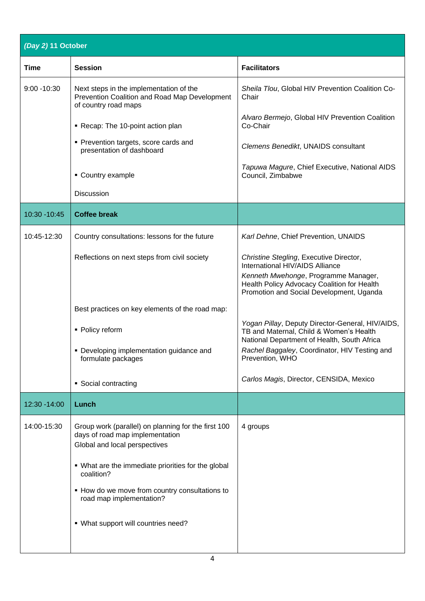| (Day 2) 11 October |                                                                                                                         |                                                                                                                                            |  |  |
|--------------------|-------------------------------------------------------------------------------------------------------------------------|--------------------------------------------------------------------------------------------------------------------------------------------|--|--|
| Time               | <b>Session</b>                                                                                                          | <b>Facilitators</b>                                                                                                                        |  |  |
| $9:00 - 10:30$     | Next steps in the implementation of the<br>Prevention Coalition and Road Map Development<br>of country road maps        | Sheila Tlou, Global HIV Prevention Coalition Co-<br>Chair                                                                                  |  |  |
|                    | Recap: The 10-point action plan                                                                                         | Alvaro Bermejo, Global HIV Prevention Coalition<br>Co-Chair                                                                                |  |  |
|                    | • Prevention targets, score cards and<br>presentation of dashboard                                                      | Clemens Benedikt, UNAIDS consultant                                                                                                        |  |  |
|                    | • Country example                                                                                                       | Tapuwa Magure, Chief Executive, National AIDS<br>Council, Zimbabwe                                                                         |  |  |
|                    | Discussion                                                                                                              |                                                                                                                                            |  |  |
| 10:30 - 10:45      | <b>Coffee break</b>                                                                                                     |                                                                                                                                            |  |  |
| 10:45-12:30        | Country consultations: lessons for the future                                                                           | Karl Dehne, Chief Prevention, UNAIDS                                                                                                       |  |  |
|                    | Reflections on next steps from civil society                                                                            | Christine Stegling, Executive Director,<br>International HIV/AIDS Alliance                                                                 |  |  |
|                    |                                                                                                                         | Kenneth Mwehonge, Programme Manager,<br>Health Policy Advocacy Coalition for Health<br>Promotion and Social Development, Uganda            |  |  |
|                    | Best practices on key elements of the road map:                                                                         |                                                                                                                                            |  |  |
|                    | • Policy reform                                                                                                         | Yogan Pillay, Deputy Director-General, HIV/AIDS,<br>TB and Maternal, Child & Women's Health<br>National Department of Health, South Africa |  |  |
|                    | • Developing implementation guidance and<br>formulate packages                                                          | Rachel Baggaley, Coordinator, HIV Testing and<br>Prevention, WHO                                                                           |  |  |
|                    | • Social contracting                                                                                                    | Carlos Magis, Director, CENSIDA, Mexico                                                                                                    |  |  |
| 12:30 - 14:00      | Lunch                                                                                                                   |                                                                                                                                            |  |  |
| 14:00-15:30        | Group work (parallel) on planning for the first 100<br>days of road map implementation<br>Global and local perspectives | 4 groups                                                                                                                                   |  |  |
|                    | • What are the immediate priorities for the global<br>coalition?                                                        |                                                                                                                                            |  |  |
|                    | • How do we move from country consultations to<br>road map implementation?                                              |                                                                                                                                            |  |  |
|                    | . What support will countries need?                                                                                     |                                                                                                                                            |  |  |